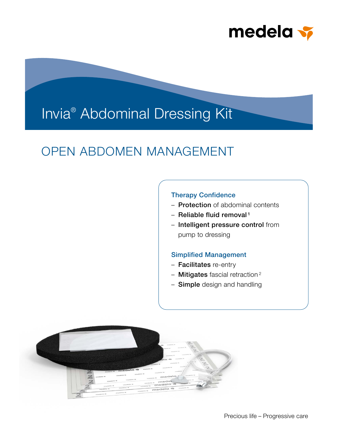

# Invia® Abdominal Dressing Kit

## OPEN ABDOMEN MANAGEMENT

## Therapy Confidence

- **Protection** of abdominal contents
- Reliable fluid removal<sup>1</sup>
- Intelligent pressure control from pump to dressing

### Simplified Management

- Facilitates re-entry
- $-$  Mitigates fascial retraction<sup>2</sup>
- Simple design and handling